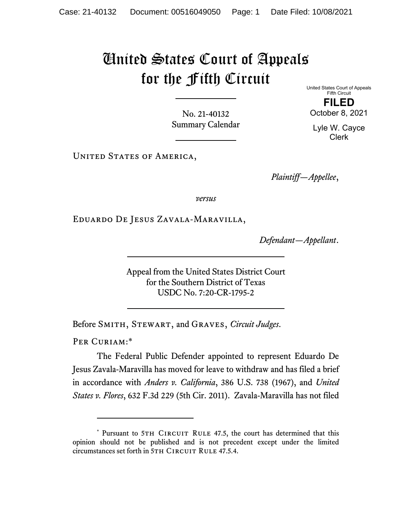## United States Court of Appeals for the Fifth Circuit

No. 21-40132 Summary Calendar United States Court of Appeals Fifth Circuit **FILED**  October 8, 2021

Lyle W. Cayce Clerk

UNITED STATES OF AMERICA,

*Plaintiff—Appellee*,

*versus*

Eduardo De Jesus Zavala-Maravilla,

*Defendant—Appellant*.

Appeal from the United States District Court for the Southern District of Texas USDC No. 7:20-CR-1795-2

Before Smith, Stewart, and Graves, *Circuit Judges*.

PER CURIAM:\*

The Federal Public Defender appointed to represent Eduardo De Jesus Zavala-Maravilla has moved for leave to withdraw and has filed a brief in accordance with *Anders v. California*, 386 U.S. 738 (1967), and *United States v. Flores*, 632 F.3d 229 (5th Cir. 2011). Zavala-Maravilla has not filed

<sup>\*</sup> Pursuant to 5TH CIRCUIT RULE 47.5, the court has determined that this opinion should not be published and is not precedent except under the limited circumstances set forth in 5TH CIRCUIT RULE 47.5.4.